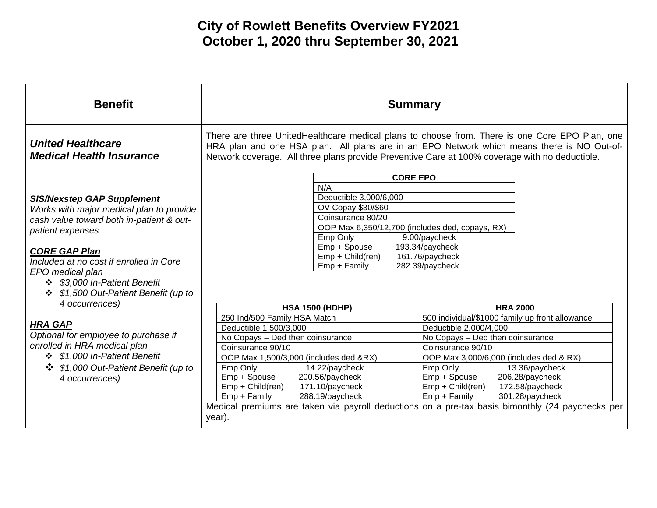| <b>Benefit</b>                                                                                                                                                                                                                                                                                                             | <b>Summary</b>                                                                                                                                                                                                                                                                                                                                                                     |                                                                                                                                                                                                                                                                       |
|----------------------------------------------------------------------------------------------------------------------------------------------------------------------------------------------------------------------------------------------------------------------------------------------------------------------------|------------------------------------------------------------------------------------------------------------------------------------------------------------------------------------------------------------------------------------------------------------------------------------------------------------------------------------------------------------------------------------|-----------------------------------------------------------------------------------------------------------------------------------------------------------------------------------------------------------------------------------------------------------------------|
| <b>United Healthcare</b><br><b>Medical Health Insurance</b>                                                                                                                                                                                                                                                                | There are three UnitedHealthcare medical plans to choose from. There is one Core EPO Plan, one<br>HRA plan and one HSA plan. All plans are in an EPO Network which means there is NO Out-of-<br>Network coverage. All three plans provide Preventive Care at 100% coverage with no deductible.                                                                                     |                                                                                                                                                                                                                                                                       |
| <b>SIS/Nexstep GAP Supplement</b><br>Works with major medical plan to provide<br>cash value toward both in-patient & out-<br>patient expenses<br><b>CORE GAP Plan</b><br>Included at no cost if enrolled in Core<br>EPO medical plan<br>\$3,000 In-Patient Benefit<br>\$1,500 Out-Patient Benefit (up to<br>4 occurrences) | <b>CORE EPO</b><br>N/A<br>Deductible 3,000/6,000<br>OV Copay \$30/\$60<br>Coinsurance 80/20<br>OOP Max 6,350/12,700 (includes ded, copays, RX)<br>Emp Only<br>9.00/paycheck<br>Emp + Spouse<br>193.34/paycheck<br>Emp + Child(ren)<br>161.76/paycheck<br>282.39/paycheck<br>Emp + Family<br><b>HSA 1500 (HDHP)</b><br>250 Ind/500 Family HSA Match                                 | <b>HRA 2000</b><br>500 individual/\$1000 family up front allowance                                                                                                                                                                                                    |
| <b>HRA GAP</b><br>Optional for employee to purchase if<br>enrolled in HRA medical plan<br>❖ \$1,000 In-Patient Benefit<br>\$1,000 Out-Patient Benefit (up to<br>4 occurrences)                                                                                                                                             | Deductible 1,500/3,000<br>No Copays - Ded then coinsurance<br>Coinsurance 90/10<br>OOP Max 1,500/3,000 (includes ded &RX)<br>Emp Only<br>14.22/paycheck<br>200.56/paycheck<br>Emp + Spouse<br>Emp + Child(ren)<br>171.10/paycheck<br>Emp + Family<br>288.19/paycheck<br>Medical premiums are taken via payroll deductions on a pre-tax basis bimonthly (24 paychecks per<br>year). | Deductible 2,000/4,000<br>No Copays - Ded then coinsurance<br>Coinsurance 90/10<br>OOP Max 3,000/6,000 (includes ded & RX)<br>Emp Only<br>13.36/paycheck<br>206.28/paycheck<br>Emp + Spouse<br>Emp + Child(ren)<br>172.58/paycheck<br>Emp + Family<br>301.28/paycheck |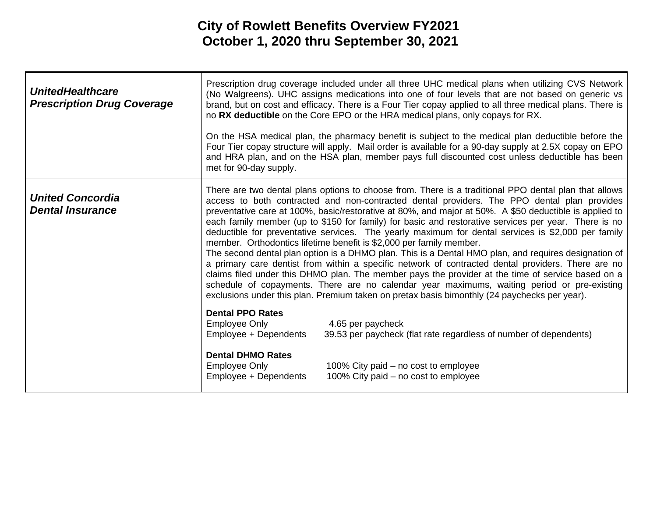| <b>UnitedHealthcare</b><br><b>Prescription Drug Coverage</b> | met for 90-day supply.                                                                                                                                                                                                                                                                                                                                                                                                                                                                                                                                                                                                                                                                                                                                                                                                                                                                                                                                                                                                                                                                                                | Prescription drug coverage included under all three UHC medical plans when utilizing CVS Network<br>(No Walgreens). UHC assigns medications into one of four levels that are not based on generic vs<br>brand, but on cost and efficacy. There is a Four Tier copay applied to all three medical plans. There is<br>no RX deductible on the Core EPO or the HRA medical plans, only copays for RX.<br>On the HSA medical plan, the pharmacy benefit is subject to the medical plan deductible before the<br>Four Tier copay structure will apply. Mail order is available for a 90-day supply at 2.5X copay on EPO<br>and HRA plan, and on the HSA plan, member pays full discounted cost unless deductible has been |
|--------------------------------------------------------------|-----------------------------------------------------------------------------------------------------------------------------------------------------------------------------------------------------------------------------------------------------------------------------------------------------------------------------------------------------------------------------------------------------------------------------------------------------------------------------------------------------------------------------------------------------------------------------------------------------------------------------------------------------------------------------------------------------------------------------------------------------------------------------------------------------------------------------------------------------------------------------------------------------------------------------------------------------------------------------------------------------------------------------------------------------------------------------------------------------------------------|----------------------------------------------------------------------------------------------------------------------------------------------------------------------------------------------------------------------------------------------------------------------------------------------------------------------------------------------------------------------------------------------------------------------------------------------------------------------------------------------------------------------------------------------------------------------------------------------------------------------------------------------------------------------------------------------------------------------|
| <b>United Concordia</b><br><b>Dental Insurance</b>           | There are two dental plans options to choose from. There is a traditional PPO dental plan that allows<br>access to both contracted and non-contracted dental providers. The PPO dental plan provides<br>preventative care at 100%, basic/restorative at 80%, and major at 50%. A \$50 deductible is applied to<br>each family member (up to \$150 for family) for basic and restorative services per year. There is no<br>deductible for preventative services. The yearly maximum for dental services is \$2,000 per family<br>member. Orthodontics lifetime benefit is \$2,000 per family member.<br>The second dental plan option is a DHMO plan. This is a Dental HMO plan, and requires designation of<br>a primary care dentist from within a specific network of contracted dental providers. There are no<br>claims filed under this DHMO plan. The member pays the provider at the time of service based on a<br>schedule of copayments. There are no calendar year maximums, waiting period or pre-existing<br>exclusions under this plan. Premium taken on pretax basis bimonthly (24 paychecks per year). |                                                                                                                                                                                                                                                                                                                                                                                                                                                                                                                                                                                                                                                                                                                      |
|                                                              | <b>Dental PPO Rates</b><br>Employee Only<br>Employee + Dependents                                                                                                                                                                                                                                                                                                                                                                                                                                                                                                                                                                                                                                                                                                                                                                                                                                                                                                                                                                                                                                                     | 4.65 per paycheck<br>39.53 per paycheck (flat rate regardless of number of dependents)                                                                                                                                                                                                                                                                                                                                                                                                                                                                                                                                                                                                                               |
|                                                              | <b>Dental DHMO Rates</b><br><b>Employee Only</b><br>Employee + Dependents                                                                                                                                                                                                                                                                                                                                                                                                                                                                                                                                                                                                                                                                                                                                                                                                                                                                                                                                                                                                                                             | 100% City paid – no cost to employee<br>100% City paid – no cost to employee                                                                                                                                                                                                                                                                                                                                                                                                                                                                                                                                                                                                                                         |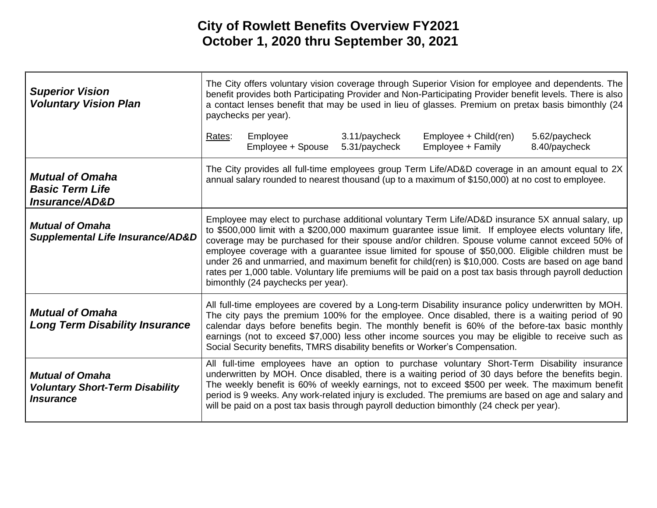| <b>Superior Vision</b><br><b>Voluntary Vision Plan</b>                                      | The City offers voluntary vision coverage through Superior Vision for employee and dependents. The<br>benefit provides both Participating Provider and Non-Participating Provider benefit levels. There is also<br>a contact lenses benefit that may be used in lieu of glasses. Premium on pretax basis bimonthly (24<br>paychecks per year).                                                                                                                                                                                                                                                                                                                               |                               |                                |                                                                                                                                                                                                                                                                                                                                                                                                                                                                                                             |                                |
|---------------------------------------------------------------------------------------------|------------------------------------------------------------------------------------------------------------------------------------------------------------------------------------------------------------------------------------------------------------------------------------------------------------------------------------------------------------------------------------------------------------------------------------------------------------------------------------------------------------------------------------------------------------------------------------------------------------------------------------------------------------------------------|-------------------------------|--------------------------------|-------------------------------------------------------------------------------------------------------------------------------------------------------------------------------------------------------------------------------------------------------------------------------------------------------------------------------------------------------------------------------------------------------------------------------------------------------------------------------------------------------------|--------------------------------|
|                                                                                             | Rates:                                                                                                                                                                                                                                                                                                                                                                                                                                                                                                                                                                                                                                                                       | Employee<br>Employee + Spouse | 3.11/paycheck<br>5.31/paycheck | Employee + Child(ren)<br>Employee + Family                                                                                                                                                                                                                                                                                                                                                                                                                                                                  | 5.62/paycheck<br>8.40/paycheck |
| <b>Mutual of Omaha</b><br><b>Basic Term Life</b><br>Insurance/AD&D                          | The City provides all full-time employees group Term Life/AD&D coverage in an amount equal to 2X<br>annual salary rounded to nearest thousand (up to a maximum of \$150,000) at no cost to employee.                                                                                                                                                                                                                                                                                                                                                                                                                                                                         |                               |                                |                                                                                                                                                                                                                                                                                                                                                                                                                                                                                                             |                                |
| <b>Mutual of Omaha</b><br><b>Supplemental Life Insurance/AD&amp;D</b>                       | Employee may elect to purchase additional voluntary Term Life/AD&D insurance 5X annual salary, up<br>to \$500,000 limit with a \$200,000 maximum guarantee issue limit. If employee elects voluntary life,<br>coverage may be purchased for their spouse and/or children. Spouse volume cannot exceed 50% of<br>employee coverage with a guarantee issue limited for spouse of \$50,000. Eligible children must be<br>under 26 and unmarried, and maximum benefit for child(ren) is \$10,000. Costs are based on age band<br>rates per 1,000 table. Voluntary life premiums will be paid on a post tax basis through payroll deduction<br>bimonthly (24 paychecks per year). |                               |                                |                                                                                                                                                                                                                                                                                                                                                                                                                                                                                                             |                                |
| <b>Mutual of Omaha</b><br><b>Long Term Disability Insurance</b>                             |                                                                                                                                                                                                                                                                                                                                                                                                                                                                                                                                                                                                                                                                              |                               |                                | All full-time employees are covered by a Long-term Disability insurance policy underwritten by MOH.<br>The city pays the premium 100% for the employee. Once disabled, there is a waiting period of 90<br>calendar days before benefits begin. The monthly benefit is 60% of the before-tax basic monthly<br>earnings (not to exceed \$7,000) less other income sources you may be eligible to receive such as<br>Social Security benefits, TMRS disability benefits or Worker's Compensation.              |                                |
| <b>Mutual of Omaha</b><br><b>Voluntary Short-Term Disability</b><br><i><b>Insurance</b></i> |                                                                                                                                                                                                                                                                                                                                                                                                                                                                                                                                                                                                                                                                              |                               |                                | All full-time employees have an option to purchase voluntary Short-Term Disability insurance<br>underwritten by MOH. Once disabled, there is a waiting period of 30 days before the benefits begin.<br>The weekly benefit is 60% of weekly earnings, not to exceed \$500 per week. The maximum benefit<br>period is 9 weeks. Any work-related injury is excluded. The premiums are based on age and salary and<br>will be paid on a post tax basis through payroll deduction bimonthly (24 check per year). |                                |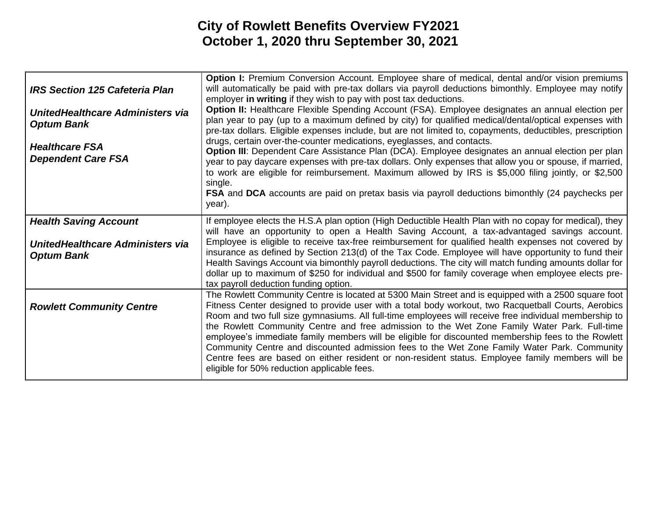| <b>IRS Section 125 Cafeteria Plan</b><br>UnitedHealthcare Administers via<br><b>Optum Bank</b><br><b>Healthcare FSA</b><br><b>Dependent Care FSA</b> | Option I: Premium Conversion Account. Employee share of medical, dental and/or vision premiums<br>will automatically be paid with pre-tax dollars via payroll deductions bimonthly. Employee may notify<br>employer in writing if they wish to pay with post tax deductions.<br><b>Option II:</b> Healthcare Flexible Spending Account (FSA). Employee designates an annual election per<br>plan year to pay (up to a maximum defined by city) for qualified medical/dental/optical expenses with<br>pre-tax dollars. Eligible expenses include, but are not limited to, copayments, deductibles, prescription<br>drugs, certain over-the-counter medications, eyeglasses, and contacts.<br>Option III: Dependent Care Assistance Plan (DCA). Employee designates an annual election per plan<br>year to pay daycare expenses with pre-tax dollars. Only expenses that allow you or spouse, if married,<br>to work are eligible for reimbursement. Maximum allowed by IRS is \$5,000 filing jointly, or \$2,500<br>single.<br>FSA and DCA accounts are paid on pretax basis via payroll deductions bimonthly (24 paychecks per<br>year). |
|------------------------------------------------------------------------------------------------------------------------------------------------------|------------------------------------------------------------------------------------------------------------------------------------------------------------------------------------------------------------------------------------------------------------------------------------------------------------------------------------------------------------------------------------------------------------------------------------------------------------------------------------------------------------------------------------------------------------------------------------------------------------------------------------------------------------------------------------------------------------------------------------------------------------------------------------------------------------------------------------------------------------------------------------------------------------------------------------------------------------------------------------------------------------------------------------------------------------------------------------------------------------------------------------------|
| <b>Health Saving Account</b><br>UnitedHealthcare Administers via<br><b>Optum Bank</b>                                                                | If employee elects the H.S.A plan option (High Deductible Health Plan with no copay for medical), they<br>will have an opportunity to open a Health Saving Account, a tax-advantaged savings account.<br>Employee is eligible to receive tax-free reimbursement for qualified health expenses not covered by<br>insurance as defined by Section 213(d) of the Tax Code. Employee will have opportunity to fund their<br>Health Savings Account via bimonthly payroll deductions. The city will match funding amounts dollar for<br>dollar up to maximum of \$250 for individual and \$500 for family coverage when employee elects pre-<br>tax payroll deduction funding option.                                                                                                                                                                                                                                                                                                                                                                                                                                                         |
| <b>Rowlett Community Centre</b>                                                                                                                      | The Rowlett Community Centre is located at 5300 Main Street and is equipped with a 2500 square foot<br>Fitness Center designed to provide user with a total body workout, two Racquetball Courts, Aerobics<br>Room and two full size gymnasiums. All full-time employees will receive free individual membership to<br>the Rowlett Community Centre and free admission to the Wet Zone Family Water Park. Full-time<br>employee's immediate family members will be eligible for discounted membership fees to the Rowlett<br>Community Centre and discounted admission fees to the Wet Zone Family Water Park. Community<br>Centre fees are based on either resident or non-resident status. Employee family members will be<br>eligible for 50% reduction applicable fees.                                                                                                                                                                                                                                                                                                                                                              |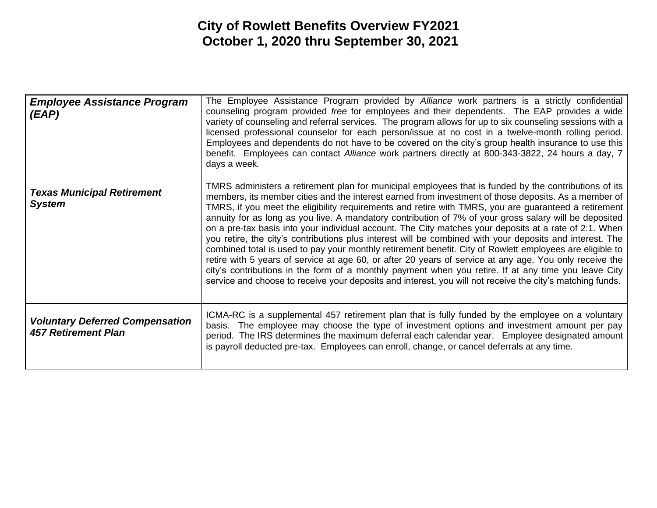| <b>Employee Assistance Program</b><br>(EAP)                          | The Employee Assistance Program provided by Alliance work partners is a strictly confidential<br>counseling program provided free for employees and their dependents. The EAP provides a wide<br>variety of counseling and referral services. The program allows for up to six counseling sessions with a<br>licensed professional counselor for each person/issue at no cost in a twelve-month rolling period.<br>Employees and dependents do not have to be covered on the city's group health insurance to use this<br>benefit. Employees can contact Alliance work partners directly at 800-343-3822, 24 hours a day, 7<br>days a week.                                                                                                                                                                                                                                                                                                                                                                                                                                                       |
|----------------------------------------------------------------------|---------------------------------------------------------------------------------------------------------------------------------------------------------------------------------------------------------------------------------------------------------------------------------------------------------------------------------------------------------------------------------------------------------------------------------------------------------------------------------------------------------------------------------------------------------------------------------------------------------------------------------------------------------------------------------------------------------------------------------------------------------------------------------------------------------------------------------------------------------------------------------------------------------------------------------------------------------------------------------------------------------------------------------------------------------------------------------------------------|
| <b>Texas Municipal Retirement</b><br><b>System</b>                   | TMRS administers a retirement plan for municipal employees that is funded by the contributions of its<br>members, its member cities and the interest earned from investment of those deposits. As a member of<br>TMRS, if you meet the eligibility requirements and retire with TMRS, you are guaranteed a retirement<br>annuity for as long as you live. A mandatory contribution of 7% of your gross salary will be deposited<br>on a pre-tax basis into your individual account. The City matches your deposits at a rate of 2:1. When<br>you retire, the city's contributions plus interest will be combined with your deposits and interest. The<br>combined total is used to pay your monthly retirement benefit. City of Rowlett employees are eligible to<br>retire with 5 years of service at age 60, or after 20 years of service at any age. You only receive the<br>city's contributions in the form of a monthly payment when you retire. If at any time you leave City<br>service and choose to receive your deposits and interest, you will not receive the city's matching funds. |
| <b>Voluntary Deferred Compensation</b><br><b>457 Retirement Plan</b> | ICMA-RC is a supplemental 457 retirement plan that is fully funded by the employee on a voluntary<br>basis. The employee may choose the type of investment options and investment amount per pay<br>period. The IRS determines the maximum deferral each calendar year. Employee designated amount<br>is payroll deducted pre-tax. Employees can enroll, change, or cancel deferrals at any time.                                                                                                                                                                                                                                                                                                                                                                                                                                                                                                                                                                                                                                                                                                 |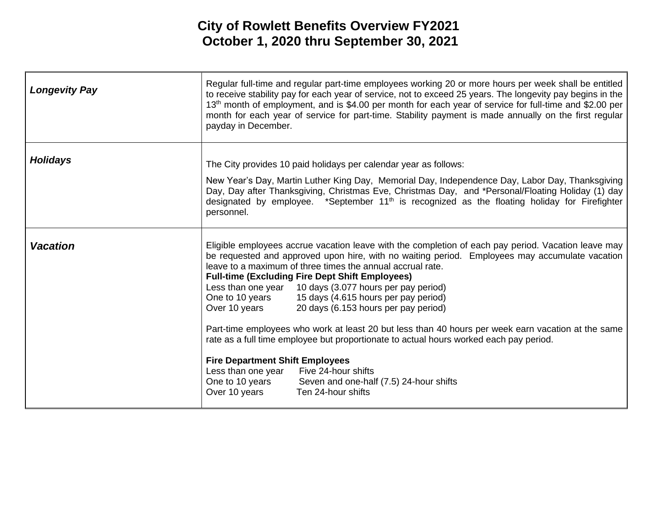| <b>Longevity Pay</b> | Regular full-time and regular part-time employees working 20 or more hours per week shall be entitled<br>to receive stability pay for each year of service, not to exceed 25 years. The longevity pay begins in the<br>13 <sup>th</sup> month of employment, and is \$4.00 per month for each year of service for full-time and \$2.00 per<br>month for each year of service for part-time. Stability payment is made annually on the first regular<br>payday in December.                                                                                                                                                                                                                                                                                                                                                                                                                               |
|----------------------|----------------------------------------------------------------------------------------------------------------------------------------------------------------------------------------------------------------------------------------------------------------------------------------------------------------------------------------------------------------------------------------------------------------------------------------------------------------------------------------------------------------------------------------------------------------------------------------------------------------------------------------------------------------------------------------------------------------------------------------------------------------------------------------------------------------------------------------------------------------------------------------------------------|
| <b>Holidays</b>      | The City provides 10 paid holidays per calendar year as follows:<br>New Year's Day, Martin Luther King Day, Memorial Day, Independence Day, Labor Day, Thanksgiving<br>Day, Day after Thanksgiving, Christmas Eve, Christmas Day, and *Personal/Floating Holiday (1) day<br>designated by employee. *September 11 <sup>th</sup> is recognized as the floating holiday for Firefighter<br>personnel.                                                                                                                                                                                                                                                                                                                                                                                                                                                                                                      |
| <b>Vacation</b>      | Eligible employees accrue vacation leave with the completion of each pay period. Vacation leave may<br>be requested and approved upon hire, with no waiting period. Employees may accumulate vacation<br>leave to a maximum of three times the annual accrual rate.<br><b>Full-time (Excluding Fire Dept Shift Employees)</b><br>Less than one year 10 days (3.077 hours per pay period)<br>15 days (4.615 hours per pay period)<br>One to 10 years<br>Over 10 years<br>20 days (6.153 hours per pay period)<br>Part-time employees who work at least 20 but less than 40 hours per week earn vacation at the same<br>rate as a full time employee but proportionate to actual hours worked each pay period.<br><b>Fire Department Shift Employees</b><br>Five 24-hour shifts<br>Less than one year<br>One to 10 years<br>Seven and one-half (7.5) 24-hour shifts<br>Over 10 years<br>Ten 24-hour shifts |